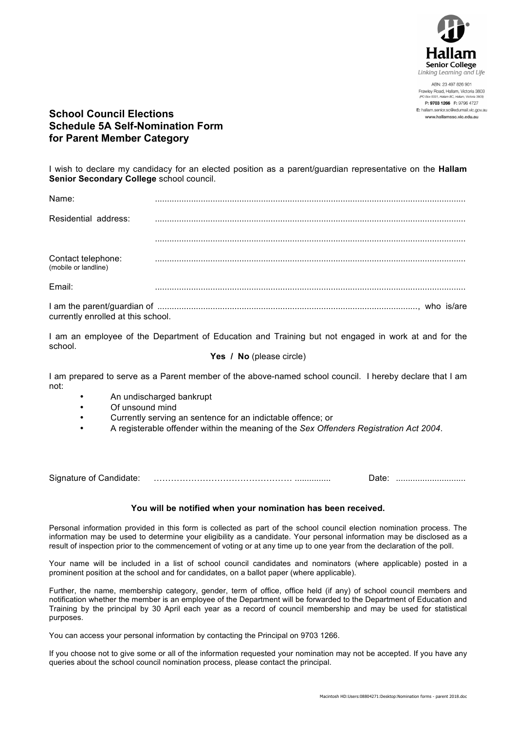

ABN: 23 497 826 901 Frawley Road, Hallam, Victoria 3803 . en u P: 9703 1266 F: 9796 4727 E: hallam.senior.sc@edumail.vic.gov.au www.hallamssc.vic.edu.au

## **School Council Elections Schedule 5A Self-Nomination Form for Parent Member Category**

I wish to declare my candidacy for an elected position as a parent/guardian representative on the **Hallam Senior Secondary College** school council.

| currently enrolled at this school.         |  |
|--------------------------------------------|--|
| Email:                                     |  |
| Contact telephone:<br>(mobile or landline) |  |
|                                            |  |
| Residential address:                       |  |
| Name:                                      |  |

I am an employee of the Department of Education and Training but not engaged in work at and for the school.

Yes / No (please circle)

I am prepared to serve as a Parent member of the above-named school council. I hereby declare that I am not:

- An undischarged bankrupt<br>• Of unsound mind
- Of unsound mind
- Currently serving an sentence for an indictable offence; or
- A registerable offender within the meaning of the *Sex Offenders Registration Act 2004*.

Signature of Candidate: ………………………………………… ............... Date: .............................

## **You will be notified when your nomination has been received.**

Personal information provided in this form is collected as part of the school council election nomination process. The information may be used to determine your eligibility as a candidate. Your personal information may be disclosed as a result of inspection prior to the commencement of voting or at any time up to one year from the declaration of the poll.

Your name will be included in a list of school council candidates and nominators (where applicable) posted in a prominent position at the school and for candidates, on a ballot paper (where applicable).

Further, the name, membership category, gender, term of office, office held (if any) of school council members and notification whether the member is an employee of the Department will be forwarded to the Department of Education and Training by the principal by 30 April each year as a record of council membership and may be used for statistical purposes.

You can access your personal information by contacting the Principal on 9703 1266.

If you choose not to give some or all of the information requested your nomination may not be accepted. If you have any queries about the school council nomination process, please contact the principal.